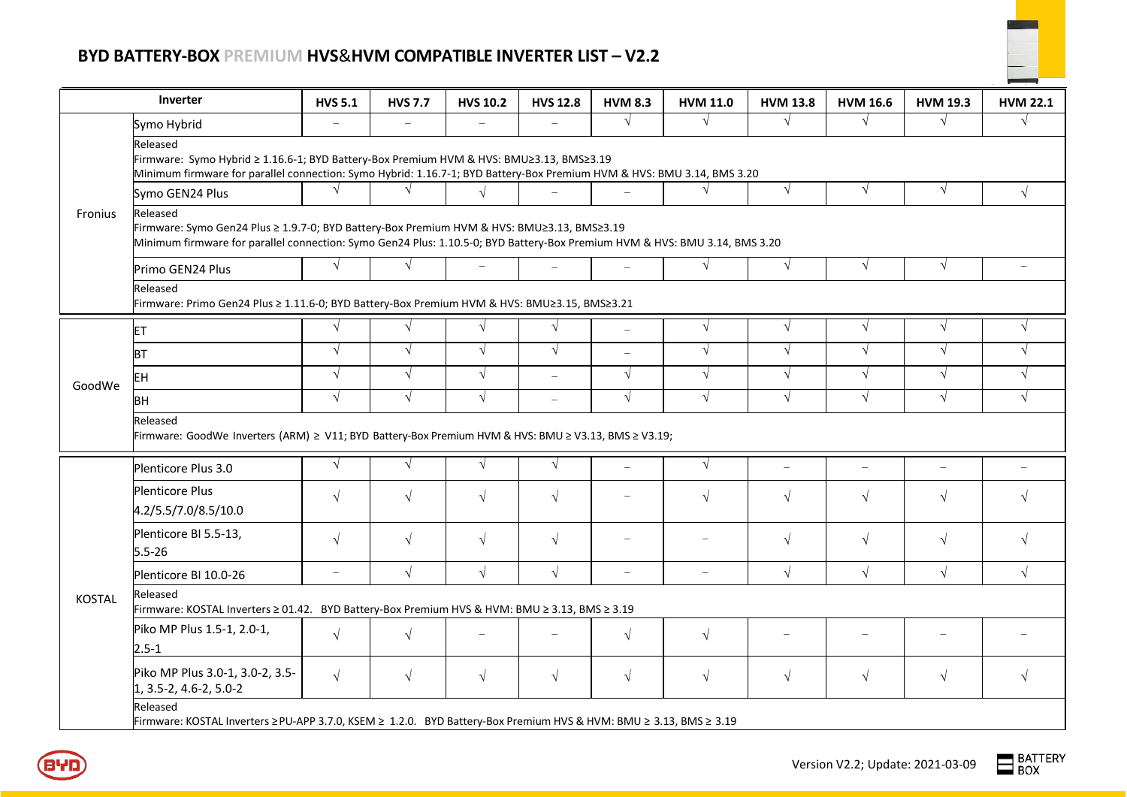## **BYD BATTERY-BOX PREMIUM HVS**&**HVM COMPATIBLE INVERTER LIST – V2.2**



| Inverter      |                                                                                                                                                                                                                                      | <b>HVS 5.1</b>           | <b>HVS 7.7</b>           | <b>HVS 10.2</b>          | <b>HVS 12.8</b>          | <b>HVM 8.3</b>           | <b>HVM 11.0</b>          | <b>HVM 13.8</b> | <b>HVM 16.6</b>          | <b>HVM 19.3</b>          | <b>HVM 22.1</b> |
|---------------|--------------------------------------------------------------------------------------------------------------------------------------------------------------------------------------------------------------------------------------|--------------------------|--------------------------|--------------------------|--------------------------|--------------------------|--------------------------|-----------------|--------------------------|--------------------------|-----------------|
| Fronius       | Symo Hybrid                                                                                                                                                                                                                          | $\overline{\phantom{0}}$ | $\overline{\phantom{0}}$ | $\overline{\phantom{m}}$ |                          | $\sqrt{ }$               | $\sqrt{ }$               | $\sqrt{ }$      | $\sqrt{ }$               | $\sqrt{ }$               | $\sqrt{ }$      |
|               | Released<br>Firmware: Symo Hybrid ≥ 1.16.6-1; BYD Battery-Box Premium HVM & HVS: BMU≥3.13, BMS≥3.19<br>Minimum firmware for parallel connection: Symo Hybrid: 1.16.7-1; BYD Battery-Box Premium HVM & HVS: BMU 3.14, BMS 3.20        |                          |                          |                          |                          |                          |                          |                 |                          |                          |                 |
|               | Symo GEN24 Plus                                                                                                                                                                                                                      | $\sqrt{ }$               | $\sqrt{ }$               | $\sqrt{}$                |                          | $\overline{\phantom{0}}$ | $\sqrt{ }$               | $\sqrt{ }$      | $\sqrt{ }$               | $\sqrt{ }$               | $\sqrt{ }$      |
|               | Released<br>Firmware: Symo Gen24 Plus ≥ 1.9.7-0; BYD Battery-Box Premium HVM & HVS: BMU≥3.13, BMS≥3.19<br>Minimum firmware for parallel connection: Symo Gen24 Plus: 1.10.5-0; BYD Battery-Box Premium HVM & HVS: BMU 3.14, BMS 3.20 |                          |                          |                          |                          |                          |                          |                 |                          |                          |                 |
|               | Primo GEN24 Plus                                                                                                                                                                                                                     | $\sqrt{ }$               | $\sqrt{}$                |                          | $\overline{\phantom{0}}$ | $\equiv$                 | $\sqrt{ }$               | $\sqrt{ }$      | $\sqrt{ }$               | $\sqrt{ }$               |                 |
|               | Released<br>Firmware: Primo Gen24 Plus ≥ 1.11.6-0; BYD Battery-Box Premium HVM & HVS: BMU≥3.15, BMS≥3.21                                                                                                                             |                          |                          |                          |                          |                          |                          |                 |                          |                          |                 |
| GoodWe        | <b>ET</b>                                                                                                                                                                                                                            | $\sqrt{ }$               | $\sqrt{ }$               | $\sqrt{}$                | $\sqrt{ }$               | $\overline{\phantom{0}}$ | $\sqrt{ }$               | $\sqrt{ }$      | $\sqrt{ }$               | $\sqrt{ }$               | $\sqrt{ }$      |
|               | <b>BT</b>                                                                                                                                                                                                                            | $\sqrt{ }$               | $\sqrt{ }$               | $\sqrt{}$                | $\sqrt{ }$               | $\equiv$                 | $\sqrt{}$                | $\sqrt{ }$      | $\sqrt{ }$               | $\sqrt{ }$               | $\sqrt{ }$      |
|               | EH                                                                                                                                                                                                                                   | $\sqrt{ }$               | $\sqrt{}$                | $\sqrt{ }$               | $\equiv$                 | $\sqrt{ }$               | $\sqrt{ }$               | $\sqrt{ }$      | $\sqrt{ }$               | $\sqrt{ }$               | $\sqrt{ }$      |
|               | <b>BH</b>                                                                                                                                                                                                                            | $\sqrt{ }$               | $\sqrt{ }$               | $\sqrt{}$                | $\overline{\phantom{a}}$ | $\sqrt{ }$               | $\sqrt{}$                | $\sqrt{ }$      | $\sqrt{ }$               | $\sqrt{}$                | $\sqrt{ }$      |
|               | Released<br>Firmware: GoodWe Inverters (ARM) ≥ V11; BYD Battery-Box Premium HVM & HVS: BMU ≥ V3.13, BMS ≥ V3.19;                                                                                                                     |                          |                          |                          |                          |                          |                          |                 |                          |                          |                 |
| <b>KOSTAL</b> | Plenticore Plus 3.0                                                                                                                                                                                                                  | $\sqrt{ }$               | $\sqrt{}$                | $\sqrt{}$                | $\sqrt{ }$               | $\equiv$                 | $\sqrt{ }$               | $\equiv$        | $\overline{\phantom{0}}$ | $\overline{\phantom{a}}$ |                 |
|               | <b>Plenticore Plus</b><br>4.2/5.5/7.0/8.5/10.0                                                                                                                                                                                       | $\sqrt{ }$               | $\sqrt{}$                | $\sqrt{ }$               | $\sqrt{ }$               |                          | $\sqrt{}$                | $\sqrt{ }$      | $\sqrt{ }$               | $\sqrt{}$                | $\sqrt{ }$      |
|               | Plenticore BI 5.5-13,<br>$5.5 - 26$                                                                                                                                                                                                  | $\sqrt{ }$               | $\sqrt{}$                | $\sqrt{ }$               | $\sqrt{ }$               |                          |                          | $\sqrt{ }$      | $\sqrt{ }$               | $\sqrt{ }$               | $\sqrt{ }$      |
|               | Plenticore BI 10.0-26                                                                                                                                                                                                                | $\overline{\phantom{0}}$ | $\sqrt{}$                | $\sqrt{}$                | $\sqrt{ }$               | $\overline{\phantom{0}}$ | $\overline{\phantom{0}}$ | $\sqrt{}$       | $\sqrt{ }$               | $\sqrt{}$                | $\sqrt{ }$      |
|               | Released<br>Firmware: KOSTAL Inverters ≥ 01.42. BYD Battery-Box Premium HVS & HVM: BMU ≥ 3.13, BMS ≥ 3.19                                                                                                                            |                          |                          |                          |                          |                          |                          |                 |                          |                          |                 |
|               | Piko MP Plus 1.5-1, 2.0-1,<br>$2.5 - 1$                                                                                                                                                                                              | $\sqrt{ }$               | $\sqrt{}$                |                          |                          | $\sqrt{ }$               | $\sqrt{ }$               |                 |                          |                          |                 |
|               | Piko MP Plus 3.0-1, 3.0-2, 3.5-<br>$1, 3.5 - 2, 4.6 - 2, 5.0 - 2$                                                                                                                                                                    | $\sqrt{ }$               | $\sqrt{}$                | $\sqrt{}$                | $\sqrt{ }$               | $\sqrt{ }$               | $\sqrt{}$                | $\sqrt{}$       | $\sqrt{ }$               | $\sqrt{}$                | $\sqrt{ }$      |
|               | Released<br>Firmware: KOSTAL Inverters ≥PU-APP 3.7.0, KSEM ≥ 1.2.0. BYD Battery-Box Premium HVS & HVM: BMU ≥ 3.13, BMS ≥ 3.19                                                                                                        |                          |                          |                          |                          |                          |                          |                 |                          |                          |                 |